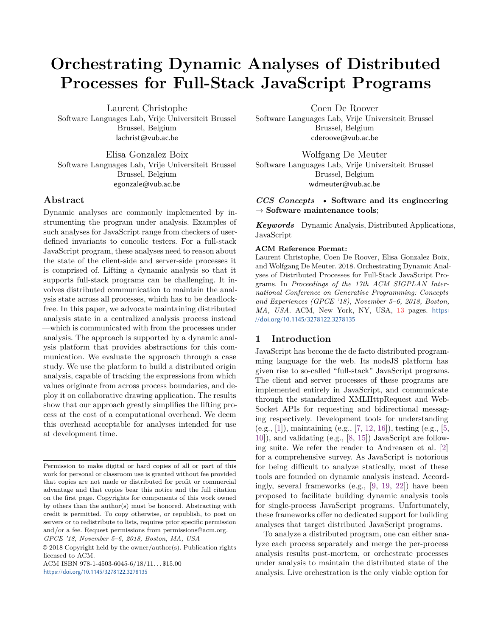# **Orchestrating Dynamic Analyses of Distributed Processes for Full-Stack JavaScript Programs**

Laurent Christophe Software Languages Lab, Vrije Universiteit Brussel Brussel, Belgium lachrist@vub.ac.be

Elisa Gonzalez Boix Software Languages Lab, Vrije Universiteit Brussel Brussel, Belgium egonzale@vub.ac.be

#### **Abstract**

Dynamic analyses are commonly implemented by instrumenting the program under analysis. Examples of such analyses for JavaScript range from checkers of userdefined invariants to concolic testers. For a full-stack JavaScript program, these analyses need to reason about the state of the client-side and server-side processes it is comprised of. Lifting a dynamic analysis so that it supports full-stack programs can be challenging. It involves distributed communication to maintain the analysis state across all processes, which has to be deadlockfree. In this paper, we advocate maintaining distributed analysis state in a centralized analysis process instead —which is communicated with from the processes under analysis. The approach is supported by a dynamic analysis platform that provides abstractions for this communication. We evaluate the approach through a case study. We use the platform to build a distributed origin analysis, capable of tracking the expressions from which values originate from across process boundaries, and deploy it on collaborative drawing application. The results show that our approach greatly simplifies the lifting process at the cost of a computational overhead. We deem this overhead acceptable for analyses intended for use at development time.

*GPCE '18, November 5–6, 2018, Boston, MA, USA*

ACM ISBN 978-1-4503-6045-6/18/11. . . \$15.00 <https://doi.org/10.1145/3278122.3278135>

Coen De Roover

Software Languages Lab, Vrije Universiteit Brussel Brussel, Belgium cderoove@vub.ac.be

Wolfgang De Meuter Software Languages Lab, Vrije Universiteit Brussel Brussel, Belgium wdmeuter@vub.ac.be

#### *CCS Concepts* • **Software and its engineering** → **Software maintenance tools**;

*Keywords* Dynamic Analysis, Distributed Applications, JavaScript

#### **ACM Reference Format:**

Laurent Christophe, Coen De Roover, Elisa Gonzalez Boix, and Wolfgang De Meuter. 2018. Orchestrating Dynamic Analyses of Distributed Processes for Full-Stack JavaScript Programs. In *Proceedings of the 17th ACM SIGPLAN International Conference on Generative Programming: Concepts and Experiences (GPCE '18), November 5–6, 2018, Boston, MA, USA.* ACM, New York, NY, USA, [13](#page-12-0) pages. [https:](https://doi.org/10.1145/3278122.3278135) [//doi.org/10.1145/3278122.3278135](https://doi.org/10.1145/3278122.3278135)

#### **1 Introduction**

JavaScript has become the de facto distributed programming language for the web. Its nodeJS platform has given rise to so-called "full-stack" JavaScript programs. The client and server processes of these programs are implemented entirely in JavaScript, and communicate through the standardized XMLHttpRequest and Web-Socket APIs for requesting and bidirectional messaging respectively. Development tools for understanding (e.g., [[1\]](#page-11-0)), maintaining (e.g., [[7,](#page-11-1) [12](#page-12-1), [16\]](#page-12-2)), testing (e.g., [[5,](#page-11-2) [10\]](#page-12-3)), and validating (e.g., [\[8](#page-12-4), [15](#page-12-5)]) JavaScript are following suite. We refer the reader to Andreasen et al. [\[2](#page-11-3)] for a comprehensive survey. As JavaScript is notorious for being difficult to analyze statically, most of these tools are founded on dynamic analysis instead. Accordingly, several frameworks (e.g., [[9,](#page-12-6) [19](#page-12-7), [22](#page-12-8)]) have been proposed to facilitate building dynamic analysis tools for single-process JavaScript programs. Unfortunately, these frameworks offer no dedicated support for building analyses that target distributed JavaScript programs.

To analyze a distributed program, one can either analyze each process separately and merge the per-process analysis results post-mortem, or orchestrate processes under analysis to maintain the distributed state of the analysis. Live orchestration is the only viable option for

Permission to make digital or hard copies of all or part of this work for personal or classroom use is granted without fee provided that copies are not made or distributed for profit or commercial advantage and that copies bear this notice and the full citation on the first page. Copyrights for components of this work owned by others than the author(s) must be honored. Abstracting with credit is permitted. To copy otherwise, or republish, to post on servers or to redistribute to lists, requires prior specific permission and/or a fee. Request permissions from permissions@acm.org.

<sup>©</sup> 2018 Copyright held by the owner/author(s). Publication rights licensed to ACM.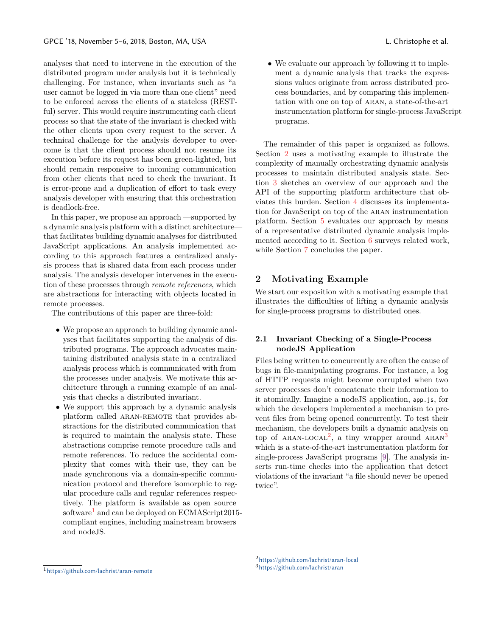analyses that need to intervene in the execution of the distributed program under analysis but it is technically challenging. For instance, when invariants such as "a user cannot be logged in via more than one client" need to be enforced across the clients of a stateless (RESTful) server. This would require instrumenting each client process so that the state of the invariant is checked with the other clients upon every request to the server. A technical challenge for the analysis developer to overcome is that the client process should not resume its execution before its request has been green-lighted, but should remain responsive to incoming communication from other clients that need to check the invariant. It is error-prone and a duplication of effort to task every analysis developer with ensuring that this orchestration is deadlock-free.

In this paper, we propose an approach —supported by a dynamic analysis platform with a distinct architecture that facilitates building dynamic analyses for distributed JavaScript applications. An analysis implemented according to this approach features a centralized analysis process that is shared data from each process under analysis. The analysis developer intervenes in the execution of these processes through *remote references*, which are abstractions for interacting with objects located in remote processes.

The contributions of this paper are three-fold:

- *•* We propose an approach to building dynamic analyses that facilitates supporting the analysis of distributed programs. The approach advocates maintaining distributed analysis state in a centralized analysis process which is communicated with from the processes under analysis. We motivate this architecture through a running example of an analysis that checks a distributed invariant.
- We support this approach by a dynamic analysis platform called aran-remote that provides abstractions for the distributed communication that is required to maintain the analysis state. These abstractions comprise remote procedure calls and remote references. To reduce the accidental complexity that comes with their use, they can be made synchronous via a domain-specific communication protocol and therefore isomorphic to regular procedure calls and regular references respectively. The platform is available as open source software<sup>[1](#page-1-0)</sup> and can be deployed on ECMAScript2015compliant engines, including mainstream browsers and nodeJS.

*•* We evaluate our approach by following it to implement a dynamic analysis that tracks the expressions values originate from across distributed process boundaries, and by comparing this implementation with one on top of aran, a state-of-the-art instrumentation platform for single-process JavaScript programs.

The remainder of this paper is organized as follows. Section [2](#page-1-1) uses a motivating example to illustrate the complexity of manually orchestrating dynamic analysis processes to maintain distributed analysis state. Section [3](#page-3-0) sketches an overview of our approach and the API of the supporting platform architecture that obviates this burden. Section [4](#page-6-0) discusses its implementation for JavaScript on top of the aran instrumentation platform. Section [5](#page-9-0) evaluates our approach by means of a representative distributed dynamic analysis implemented according to it. Section [6](#page-11-4) surveys related work, while Section [7](#page-11-5) concludes the paper.

## <span id="page-1-1"></span>**2 Motivating Example**

We start our exposition with a motivating example that illustrates the difficulties of lifting a dynamic analysis for single-process programs to distributed ones.

#### **2.1 Invariant Checking of a Single-Process nodeJS Application**

Files being written to concurrently are often the cause of bugs in file-manipulating programs. For instance, a log of HTTP requests might become corrupted when two server processes don't concatenate their information to it atomically. Imagine a nodeJS application, app.js, for which the developers implemented a mechanism to prevent files from being opened concurrently. To test their mechanism, the developers built a dynamic analysis on top of ARAN-LOCAL<sup>[2](#page-1-2)</sup>, a tiny wrapper around ARAN<sup>[3](#page-1-3)</sup> which is a state-of-the-art instrumentation platform for single-process JavaScript programs [[9](#page-12-6)]. The analysis inserts run-time checks into the application that detect violations of the invariant "a file should never be opened twice".

<span id="page-1-2"></span><sup>2</sup><https://github.com/lachrist/aran-local>

<span id="page-1-3"></span><sup>3</sup><https://github.com/lachrist/aran>

<span id="page-1-0"></span><sup>1</sup><https://github.com/lachrist/aran-remote>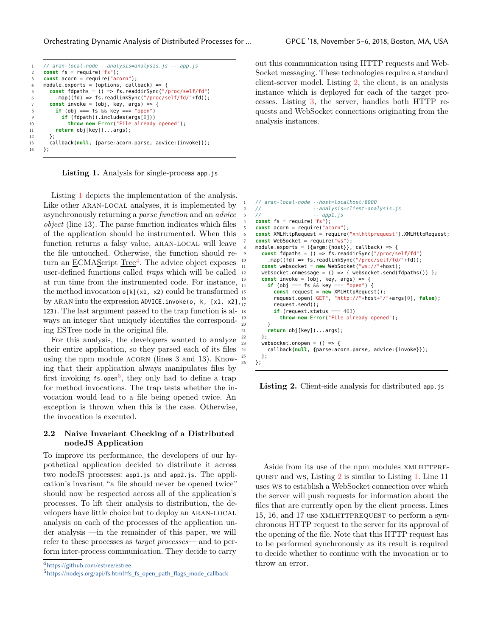<span id="page-2-0"></span>Orchestrating Dynamic Analysis of Distributed Processes for … GPCE '18, November 5–6, 2018, Boston, MA, USA

```
1 // aran-local-node --analysis=analysis.js -- app.js
2 const fs = require("fs");
3 const acorn = require("acorn");
4 module.exports = (options, callback) => {
5 const fdpaths = () => fs.readdirSync("/proc/self/fd")
6 .map((fd) => fs.readlinkSync("/proc/self/fd/"+fd));
7 const invoke = (obj, key, args) => {
8 if (obj === fs \&& key === "open")
9 if (fdpath().includes(args[0]))
10 throw new Error("File already opened");
11 return obj[key](...args);
12 };
13 callback(null, {parse:acorn.parse, advice:{invoke}});
14 };
```
**Listing 1.** Analysis for single-process app.js

Listing [1](#page-2-0) depicts the implementation of the analysis. Like other ARAN-LOCAL analyses, it is implemented by asynchronously returning a *parse function* and an *advice object* (line 13). The parse function indicates which files of the application should be instrumented. When this function returns a falsy value, ARAN-LOCAL will leave the file untouched. Otherwise, the function should re-turn an <u>ECMAScript Tree<sup>[4](#page-2-1)</sup></u>. The advice object exposes user-defined functions called *traps* which will be called at run time from the instrumented code. For instance, the method invocation  $o[k](x1, x2)$  could be transformed 15 by ARAN into the expression ADVICE.invoke(o, k, [x1, x2], 123). The last argument passed to the trap function is always an integer that uniquely identifies the corresponding ESTree node in the original file.

For this analysis, the developers wanted to analyze their entire application, so they parsed each of its files using the npm module ACORN (lines 3 and 13). Knowing that their application always manipulates files by first invoking  $fs.open^5$  $fs.open^5$ , they only had to define a trap for method invocations. The trap tests whether the invocation would lead to a file being opened twice. An exception is thrown when this is the case. Otherwise, the invocation is executed.

#### **2.2 Naive Invariant Checking of a Distributed nodeJS Application**

To improve its performance, the developers of our hypothetical application decided to distribute it across two nodeJS processes: app1.js and app2.js. The application's invariant "a file should never be opened twice" should now be respected across all of the application's processes. To lift their analysis to distribution, the developers have little choice but to deploy an aran-local analysis on each of the processes of the application under analysis —in the remainder of this paper, we will refer to these processes as *target processes*— and to perform inter-process communication. They decide to carry

out this communication using HTTP requests and Web-Socket messaging. These technologies require a standard client-server model. Listing [2](#page-2-3), the client, is an analysis instance which is deployed for each of the target processes. Listing [3](#page-3-1), the server, handles both HTTP requests and WebSocket connections originating from the analysis instances.

```
1 // aran-local-node --host=localhost:8000
    2 // --analysis=client-analysis.js
                         -- appl.js
     const fs = require("fs");
     5 const acorn = require("acorn");
     6 const XMLHttpRequest = require("xmlhttprequest").XMLHttpRequest;
     const WebSocket = require("ws");
 8 module.exports = ({argm:{host}}, callback) => {
9 const fdpaths = () => fs.readdirSync("/proc/self/fd")
         .map((fd) => fs.readlinkSync("/proc/self/fd/"+fd));
11 const websocket = new WebSocket("ws://"+host);
12 websocket.onmessage = () => { websocket.send(fdpaths()) };
       const invoke = (obj, key, args) => {
         if (obj == fs & key == "open") {
           15 const request = new XMLHttpRequest();
           16 request.open("GET", "http://"+host+"/"+args[0], false);
           request.send():
           if (request.status == 403)
             19 throw new Error("File already opened");
20 }
21 return obj[key](...args);
       \lambda:
23 websocket.onopen = () \Rightarrow {
24 callback(null, {parse:acorn.parse, advice:{invoke}});
      \};
    \};
```
Listing 2. Client-side analysis for distributed app.js

Aside from its use of the npm modules XMLHTTPREquest and ws, Listing [2](#page-2-3) is similar to Listing [1](#page-2-0). Line 11 uses ws to establish a WebSocket connection over which the server will push requests for information about the files that are currently open by the client process. Lines 15, 16, and 17 use XMLHTTPREQUEST to perform a synchronous HTTP request to the server for its approval of the opening of the file. Note that this HTTP request has to be performed synchronously as its result is required to decide whether to continue with the invocation or to throw an error.

<span id="page-2-1"></span><sup>4</sup><https://github.com/estree/estree>

<span id="page-2-2"></span><sup>5</sup>[https://nodejs.org/api/fs.html#fs\\_fs\\_open\\_path\\_flags\\_mode\\_callback](https://nodejs.org/api/fs.html#fs_fs_open_path_flags_mode_callback)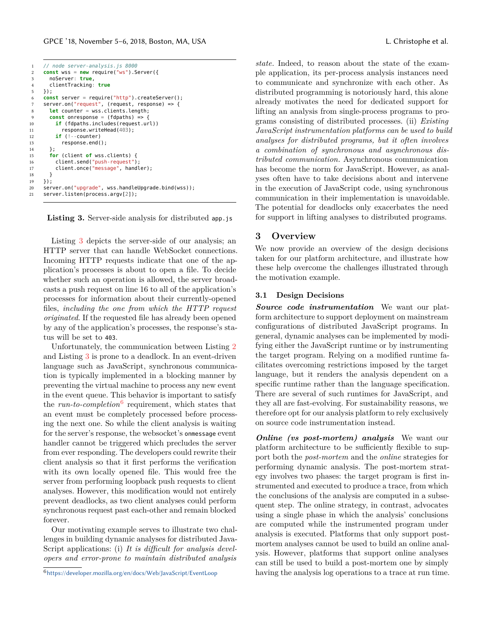```
1 // node server-analysis.js 8000
2 const wss = new require("ws").Server({
3 noServer: true,
4 clientTracking: true
5 });
6 const server = require("http").createServer();
7 server.on("request", (request, response) => {
8 let counter = wss.clients.length;
9 const onresponse = (fdpaths) => {
10 if (fdpaths.includes(request.url))
11 response.writeHead(403);
12 if (!--counter)
13 response.end();
14 };
15 for (client of wss.clients) {
16 client.send("push-request");
17 client.once("message", handler);
18 }
19 \quad \frac{1}{2}20 server.on("upgrade", wss.handleUpgrade.bind(wss));
21 server.listen(process.argv[2]);
```
Listing 3. Server-side analysis for distributed app. is

Listing [3](#page-3-1) depicts the server-side of our analysis; an HTTP server that can handle WebSocket connections. Incoming HTTP requests indicate that one of the application's processes is about to open a file. To decide whether such an operation is allowed, the server broadcasts a push request on line 16 to all of the application's processes for information about their currently-opened files, *including the one from which the HTTP request originated*. If the requested file has already been opened by any of the application's processes, the response's status will be set to 403.

Unfortunately, the communication between Listing [2](#page-2-3) and Listing [3](#page-3-1) is prone to a deadlock. In an event-driven language such as JavaScript, synchronous communication is typically implemented in a blocking manner by preventing the virtual machine to process any new event in the event queue. This behavior is important to satisfy the *run-to-completion*<sup>[6](#page-3-2)</sup> requirement, which states that an event must be completely processed before processing the next one. So while the client analysis is waiting for the server's response, the websocket's onmessage event handler cannot be triggered which precludes the server from ever responding. The developers could rewrite their client analysis so that it first performs the verification with its own locally opened file. This would free the server from performing loopback push requests to client analyses. However, this modification would not entirely prevent deadlocks, as two client analyses could perform synchronous request past each-other and remain blocked forever.

Our motivating example serves to illustrate two challenges in building dynamic analyses for distributed Java-Script applications: (i) *It is difficult for analysis developers and error-prone to maintain distributed analysis*

<span id="page-3-2"></span><sup>6</sup><https://developer.mozilla.org/en/docs/Web/JavaScript/EventLoop>

*state.* Indeed, to reason about the state of the example application, its per-process analysis instances need to communicate and synchronize with each other. As distributed programming is notoriously hard, this alone already motivates the need for dedicated support for lifting an analysis from single-process programs to programs consisting of distributed processes. (ii) *Existing JavaScript instrumentation platforms can be used to build analyses for distributed programs, but it often involves a combination of synchronous and asynchronous distributed communication.* Asynchronous communication has become the norm for JavaScript. However, as analyses often have to take decisions about and intervene in the execution of JavaScript code, using synchronous communication in their implementation is unavoidable. The potential for deadlocks only exacerbates the need for support in lifting analyses to distributed programs.

#### <span id="page-3-0"></span>**3 Overview**

We now provide an overview of the design decisions taken for our platform architecture, and illustrate how these help overcome the challenges illustrated through the motivation example.

#### **3.1 Design Decisions**

*Source code instrumentation* We want our platform architecture to support deployment on mainstream configurations of distributed JavaScript programs. In general, dynamic analyses can be implemented by modifying either the JavaScript runtime or by instrumenting the target program. Relying on a modified runtime facilitates overcoming restrictions imposed by the target language, but it renders the analysis dependent on a specific runtime rather than the language specification. There are several of such runtimes for JavaScript, and they all are fast-evolving. For sustainability reasons, we therefore opt for our analysis platform to rely exclusively on source code instrumentation instead.

*Online (vs post-mortem) analysis* We want our platform architecture to be sufficiently flexible to support both the *post-mortem* and the *online* strategies for performing dynamic analysis. The post-mortem strategy involves two phases: the target program is first instrumented and executed to produce a trace, from which the conclusions of the analysis are computed in a subsequent step. The online strategy, in contrast, advocates using a single phase in which the analysis' conclusions are computed while the instrumented program under analysis is executed. Platforms that only support postmortem analyses cannot be used to build an online analysis. However, platforms that support online analyses can still be used to build a post-mortem one by simply having the analysis log operations to a trace at run time.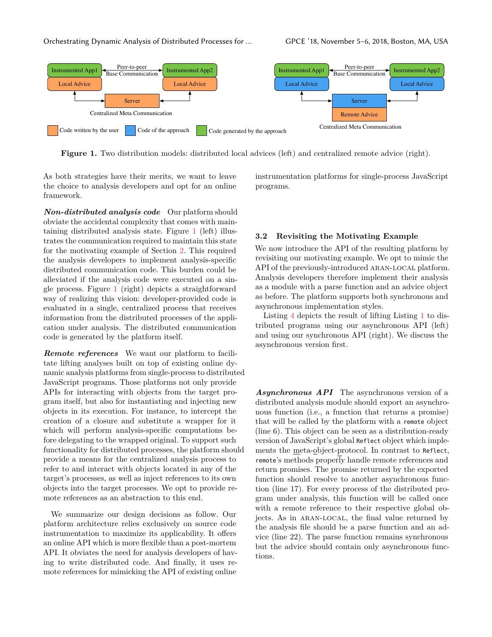<span id="page-4-0"></span>

**Figure 1.** Two distribution models: distributed local advices (left) and centralized remote advice (right).

As both strategies have their merits, we want to leave the choice to analysis developers and opt for an online framework.

*Non-distributed analysis code* Our platform should obviate the accidental complexity that comes with maintaining distributed analysis state. Figure [1](#page-4-0) (left) illustrates the communication required to maintain this state for the motivating example of Section [2.](#page-1-1) This required the analysis developers to implement analysis-specific distributed communication code. This burden could be alleviated if the analysis code were executed on a single process. Figure [1](#page-4-0) (right) depicts a straightforward way of realizing this vision: developer-provided code is evaluated in a single, centralized process that receives information from the distributed processes of the application under analysis. The distributed communication code is generated by the platform itself.

*Remote references* We want our platform to facilitate lifting analyses built on top of existing online dynamic analysis platforms from single-process to distributed JavaScript programs. Those platforms not only provide APIs for interacting with objects from the target program itself, but also for instantiating and injecting new objects in its execution. For instance, to intercept the creation of a closure and substitute a wrapper for it which will perform analysis-specific computations before delegating to the wrapped original. To support such functionality for distributed processes, the platform should provide a means for the centralized analysis process to refer to and interact with objects located in any of the target's processes, as well as inject references to its own objects into the target processes. We opt to provide remote references as an abstraction to this end.

We summarize our design decisions as follow. Our platform architecture relies exclusively on source code instrumentation to maximize its applicability. It offers an online API which is more flexible than a post-mortem API. It obviates the need for analysis developers of having to write distributed code. And finally, it uses remote references for mimicking the API of existing online

instrumentation platforms for single-process JavaScript programs.

#### **3.2 Revisiting the Motivating Example**

We now introduce the API of the resulting platform by revisiting our motivating example. We opt to mimic the API of the previously-introduced ARAN-LOCAL platform. Analysis developers therefore implement their analysis as a module with a parse function and an advice object as before. The platform supports both synchronous and asynchronous implementation styles.

Listing [4](#page-5-0) depicts the result of lifting Listing [1](#page-2-0) to distributed programs using our asynchronous API (left) and using our synchronous API (right). We discuss the asynchronous version first.

*Asynchronous API* The asynchronous version of a distributed analysis module should export an asynchronous function (i.e., a function that returns a promise) that will be called by the platform with a remote object (line 6). This object can be seen as a distribution-ready version of JavaScript's global Reflect object which implements the meta-object-protocol. In contrast to Reflect, remote's methods properly handle remote references and return promises. The promise returned by the exported function should resolve to another asynchronous function (line 17). For every process of the distributed program under analysis, this function will be called once with a remote reference to their respective global objects. As in aran-local, the final value returned by the analysis file should be a parse function and an advice (line 22). The parse function remains synchronous but the advice should contain only asynchronous functions.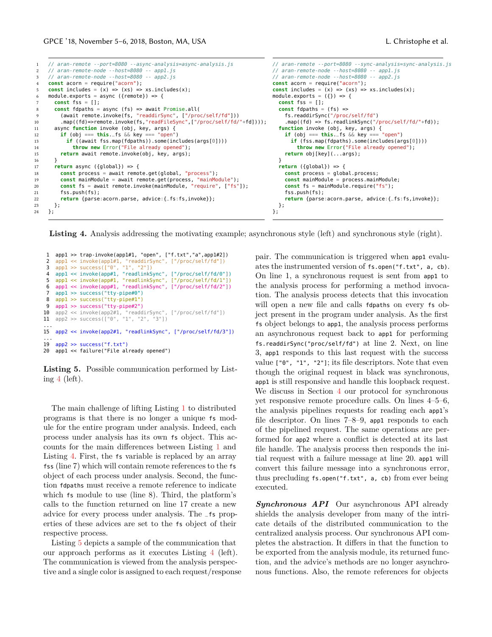```
1 // aran-remote --port=8080 --async-analysis=async-analysis.js
2 // aran-remote-node --host=8080 -- app1.js
3 // aran-remote-node --host=8080 -- app2.js
4 const acorn = require("acorn");
5 const includes = (x) => (xs) => xs. includes(x):
 6 module.exports = async ({remote}) => {
7 const fss = [1];
8 const fdpaths = async (fs) => await Promise.all(
9 (await remote.invoke(fs, "readdirSync", ["/proc/self/fd"]))
10 .map((fd)=>remote.invoke(fs,"readFileSync",["/proc/self/fd/"+fd])));
11 async function invoke (obj, key, args) {
12 if (obj === this._fs && key === "open")
13 if ((await fss.map(fdpaths)).some(includes(args[0])))
14 throw new Error("File already opened");
15 return await remote.invoke(obj, key, args);
16   }
17 return async ({global}) => {
18 const process = await remote.get(global, "process");
19 const mainModule = await remote.get(process, "mainModule");
20 const fs = await remote.invoke(mainModule, "require", ["fs"]);
21 fss.push(fs);
22 return {parse:acorn.parse, advice:{_fs:fs,invoke}};
23 };
24 };
                                                                                // aran-remote --port=8080 --sync-analysis=sync-analysis.js
                                                                                // aran-remote-node --host=8080 -- app1.js
                                                                                // aran-remote-node --host=8080 -- app2.js
                                                                                const acorn = require("acorn");
                                                                                const includes = (x) => (xs) => xs. includes(x):
                                                                                module.exports = ({}) => {
                                                                                  const fss = [1];
                                                                                  const fdnaths = (fs) =>
                                                                                    fs.readdirSync("/proc/self/fd")
                                                                                    .map((fd) => fs.readlinkSync("/proc/self/fd/"+fd));
                                                                                  function invoke (obj, key, args) {
if (obj === this._fs && key === "open")
                                                                                      if (fss.map(fdpaths).some(includes(args[0])))
                                                                                        throw new Error("File already opened");
                                                                                    return obj[key](...args);
                                                                                  }
                                                                                  return ({global}) => {
                                                                                    const process = global.process;
                                                                                    const mainModule = process.mainModule;
                                                                                    const fs = mainModule.require("fs");
                                                                                    fss.push(fs);
                                                                                    return {parse:acorn.parse, advice:{_fs:fs,invoke}};
                                                                                  };
                                                                                };
```
Listing 4. Analysis addressing the motivating example; asynchronous style (left) and synchronous style (right).

```
1 app1 >> trap-invoke(app1#1, "open", ["f.txt","a",app1#2])<br>2 app1 << invoke(app1#1. "readdirSync". ["/proc/self/fd"])
  2 app1 << invoke(app1#1, "readdirSync", ["/proc/self/fd"])
3 app1 >> success(["0", "1", "2"])
 4 app1 << invoke(app#1, "readlinkSync", ["/proc/self/fd/0"])
  5 app1 << invoke(app#1, "readlinkSync", ["/proc/self/fd/1"])
6 app1 << invoke(app#1, "readlinkSync", ["/proc/self/fd/2"])
 7 appl >> success("tty-pipe#0")<br>8 appl >> success("tty-pipe#1")
 8 app1 \gg success("tty-pipe#1")<br>9 app1 \gg success("tty-pipe#2")
9 appl >> success("tty-pipe#2"<br>10 app2 << invoke(app2#1, "read
    app2 << invoke(app2#1, "readdirSync", ["/proc/self/fd"])
11 app2 >> success(["0", "1", "2", "3"])
...
15 app2 << invoke(app2#1, "readlinkSync", ["/proc/self/fd/3"])
...<br>19   app2 >> success("f.txt")
20 app1 << failure("File already opened")
```
**Listing 5.** Possible communication performed by Listing [4](#page-5-0) (left).

The main challenge of lifting Listing [1](#page-2-0) to distributed programs is that there is no longer a unique fs module for the entire program under analysis. Indeed, each process under analysis has its own fs object. This accounts for the main differences between Listing [1](#page-2-0) and Listing [4.](#page-5-0) First, the fs variable is replaced by an array fss (line 7) which will contain remote references to the fs object of each process under analysis. Second, the function fdpaths must receive a remote reference to indicate which fs module to use (line 8). Third, the platform's calls to the function returned on line 17 create a new advice for every process under analysis. The \_fs properties of these advices are set to the fs object of their respective process.

Listing [5](#page-5-1) depicts a sample of the communication that our approach performs as it executes Listing [4](#page-5-0) (left). The communication is viewed from the analysis perspective and a single color is assigned to each request/response pair. The communication is triggered when app1 evaluates the instrumented version of fs.open("f.txt", a, cb). On line 1, a synchronous request is sent from app1 to the analysis process for performing a method invocation. The analysis process detects that this invocation will open a new file and calls fdpaths on every fs object present in the program under analysis. As the first fs object belongs to app1, the analysis process performs an asynchronous request back to app1 for performing fs.readdirSync("proc/self/fd") at line 2. Next, on line 3, app1 responds to this last request with the success value ["0", "1", "2"]; its file descriptors. Note that even though the original request in black was synchronous, app1 is still responsive and handle this loopback request. We discuss in Section [4](#page-6-0) our protocol for synchronous yet responsive remote procedure calls. On lines 4–5–6, the analysis pipelines requests for reading each app1's file descriptor. On lines 7–8–9, app1 responds to each of the pipelined request. The same operations are performed for app2 where a conflict is detected at its last file handle. The analysis process then responds the initial request with a failure message at line 20. app1 will convert this failure message into a synchronous error, thus precluding fs.open("f.txt", a, cb) from ever being executed.

*Synchronous API* Our asynchronous API already shields the analysis developer from many of the intricate details of the distributed communication to the centralized analysis process. Our synchronous API completes the abstraction. It differs in that the function to be exported from the analysis module, its returned function, and the advice's methods are no longer asynchronous functions. Also, the remote references for objects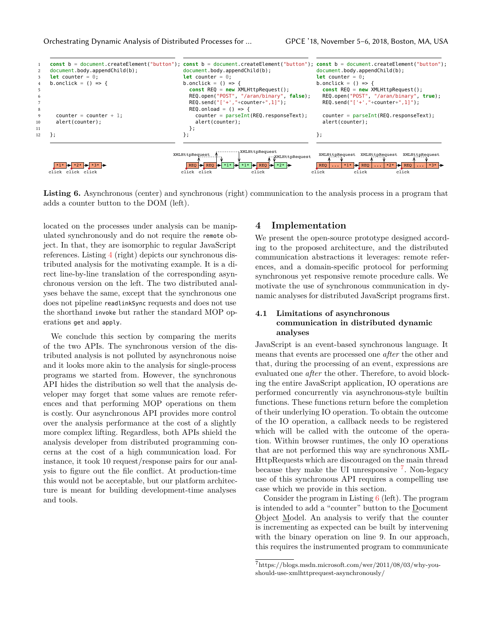<span id="page-6-2"></span>Orchestrating Dynamic Analysis of Distributed Processes for … GPCE '18, November 5–6, 2018, Boston, MA, USA



**Listing 6.** Asynchronous (center) and synchronous (right) communication to the analysis process in a program that adds a counter button to the DOM (left).

located on the processes under analysis can be manipulated synchronously and do not require the remote object. In that, they are isomorphic to regular JavaScript references. Listing [4](#page-5-0) (right) depicts our synchronous distributed analysis for the motivating example. It is a direct line-by-line translation of the corresponding asynchronous version on the left. The two distributed analyses behave the same, except that the synchronous one does not pipeline readlinkSync requests and does not use the shorthand invoke but rather the standard MOP operations get and apply.

We conclude this section by comparing the merits of the two APIs. The synchronous version of the distributed analysis is not polluted by asynchronous noise and it looks more akin to the analysis for single-process programs we started from. However, the synchronous API hides the distribution so well that the analysis developer may forget that some values are remote references and that performing MOP operations on them is costly. Our asynchronous API provides more control over the analysis performance at the cost of a slightly more complex lifting. Regardless, both APIs shield the analysis developer from distributed programming concerns at the cost of a high communication load. For instance, it took 10 request/response pairs for our analysis to figure out the file conflict. At production-time this would not be acceptable, but our platform architecture is meant for building development-time analyses and tools.

### <span id="page-6-0"></span>**4 Implementation**

We present the open-source prototype designed according to the proposed architecture, and the distributed communication abstractions it leverages: remote references, and a domain-specific protocol for performing synchronous yet responsive remote procedure calls. We motivate the use of synchronous communication in dynamic analyses for distributed JavaScript programs first.

## **4.1 Limitations of asynchronous communication in distributed dynamic analyses**

JavaScript is an event-based synchronous language. It means that events are processed one *after* the other and that, during the processing of an event, expressions are evaluated one *after* the other. Therefore, to avoid blocking the entire JavaScript application, IO operations are performed concurrently via asynchronous-style builtin functions. These functions return before the completion of their underlying IO operation. To obtain the outcome of the IO operation, a callback needs to be registered which will be called with the outcome of the operation. Within browser runtimes, the only IO operations that are not performed this way are synchronous XML-HttpRequests which are discouraged on the main thread because they make the UI unresponsive <sup>[7](#page-6-1)</sup>. Non-legacy use of this synchronous API requires a compelling use case which we provide in this section.

Consider the program in Listing  $6$  (left). The program is intended to add a "counter" button to the Document Object Model. An analysis to verify that the counter is incrementing as expected can be built by intervening with the binary operation on line 9. In our approach, this requires the instrumented program to communicate

<span id="page-6-1"></span><sup>7</sup>https://blogs.msdn.microsoft.com/wer/2011/08/03/why-youshould-use-xmlhttprequest-asynchronously/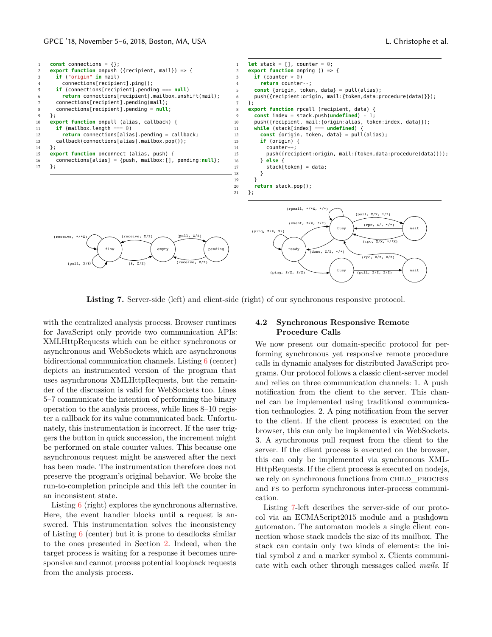<span id="page-7-0"></span>

Listing 7. Server-side (left) and client-side (right) of our synchronous responsive protocol.

with the centralized analysis process. Browser runtimes for JavaScript only provide two communication APIs: XMLHttpRequests which can be either synchronous or asynchronous and WebSockets which are asynchronous bidirectional communication channels. Listing [6](#page-6-2) (center) depicts an instrumented version of the program that uses asynchronous XMLHttpRequests, but the remainder of the discussion is valid for WebSockets too. Lines 5–7 communicate the intention of performing the binary operation to the analysis process, while lines 8–10 register a callback for its value communicated back. Unfortunately, this instrumentation is incorrect. If the user triggers the button in quick succession, the increment might be performed on stale counter values. This because one asynchronous request might be answered after the next has been made. The instrumentation therefore does not preserve the program's original behavior. We broke the run-to-completion principle and this left the counter in an inconsistent state.

Listing [6](#page-6-2) (right) explores the synchronous alternative. Here, the event handler blocks until a request is answered. This instrumentation solves the inconsistency of Listing [6](#page-6-2) (center) but it is prone to deadlocks similar to the ones presented in Section [2](#page-1-1). Indeed, when the target process is waiting for a response it becomes unresponsive and cannot process potential loopback requests from the analysis process.

#### **4.2 Synchronous Responsive Remote Procedure Calls**

We now present our domain-specific protocol for performing synchronous yet responsive remote procedure calls in dynamic analyses for distributed JavaScript programs. Our protocol follows a classic client-server model and relies on three communication channels: 1. A push notification from the client to the server. This channel can be implemented using traditional communication technologies. 2. A ping notification from the server to the client. If the client process is executed on the browser, this can only be implemented via WebSockets. 3. A synchronous pull request from the client to the server. If the client process is executed on the browser, this can only be implemented via synchronous XML-HttpRequests. If the client process is executed on nodejs, we rely on synchronous functions from CHILD PROCESS and fs to perform synchronous inter-process communication.

Listing [7-](#page-7-0)left describes the server-side of our protocol via an ECMAScript2015 module and a pushdown automaton. The automaton models a single client connection whose stack models the size of its mailbox. The stack can contain only two kinds of elements: the initial symbol Z and a marker symbol X. Clients communicate with each other through messages called *mails*. If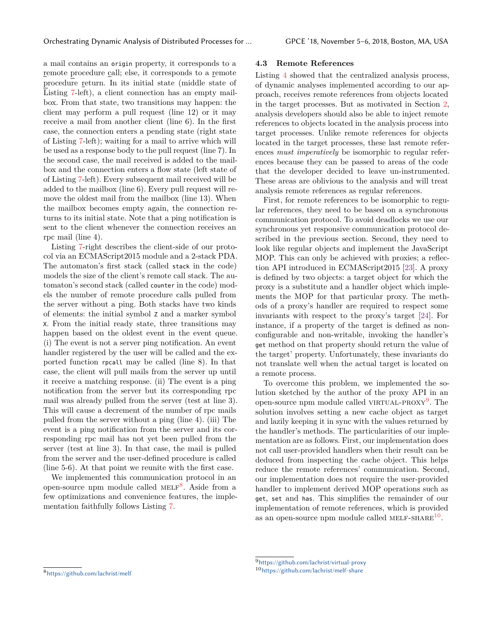a mail contains an origin property, it corresponds to a remote procedure call; else, it corresponds to a remote procedure return. In its initial state (middle state of Listing [7](#page-7-0)-left), a client connection has an empty mailbox. From that state, two transitions may happen: the client may perform a pull request (line 12) or it may receive a mail from another client (line 6). In the first case, the connection enters a pending state (right state of Listing [7](#page-7-0)-left); waiting for a mail to arrive which will be used as a response body to the pull request (line 7). In the second case, the mail received is added to the mailbox and the connection enters a flow state (left state of of Listing [7](#page-7-0)-left). Every subsequent mail received will be added to the mailbox (line 6). Every pull request will remove the oldest mail from the mailbox (line 13). When the mailbox becomes empty again, the connection returns to its initial state. Note that a ping notification is sent to the client whenever the connection receives an rpc mail (line 4).

Listing [7-](#page-7-0)right describes the client-side of our protocol via an ECMAScript2015 module and a 2-stack PDA. The automaton's first stack (called stack in the code) models the size of the client's remote call stack. The automaton's second stack (called counter in the code) models the number of remote procedure calls pulled from the server without a ping. Both stacks have two kinds of elements: the initial symbol Z and a marker symbol X. From the initial ready state, three transitions may happen based on the oldest event in the event queue. (i) The event is not a server ping notification. An event handler registered by the user will be called and the exported function rpcall may be called (line 8). In that case, the client will pull mails from the server up until it receive a matching response. (ii) The event is a ping notification from the server but its corresponding rpc mail was already pulled from the server (test at line 3). This will cause a decrement of the number of rpc mails pulled from the server without a ping (line 4). (iii) The event is a ping notification from the server and its corresponding rpc mail has not yet been pulled from the server (test at line 3). In that case, the mail is pulled from the server and the user-defined procedure is called (line 5-6). At that point we reunite with the first case.

We implemented this communication protocol in an open-source npm module called MELF<sup>[8](#page-8-0)</sup>. Aside from a few optimizations and convenience features, the implementation faithfully follows Listing [7](#page-7-0).

#### **4.3 Remote References**

Listing [4](#page-5-0) showed that the centralized analysis process, of dynamic analyses implemented according to our approach, receives remote references from objects located in the target processes. But as motivated in Section [2,](#page-1-1) analysis developers should also be able to inject remote references to objects located in the analysis process into target processes. Unlike remote references for objects located in the target processes, these last remote references *must imperatively* be isomorphic to regular references because they can be passed to areas of the code that the developer decided to leave un-instrumented. These areas are oblivious to the analysis and will treat analysis remote references as regular references.

First, for remote references to be isomorphic to regular references, they need to be based on a synchronous communication protocol. To avoid deadlocks we use our synchronous yet responsive communication protocol described in the previous section. Second, they need to look like regular objects and implement the JavaScript MOP. This can only be achieved with proxies; a reflection API introduced in ECMAScript2015 [[23\]](#page-12-9). A proxy is defined by two objects: a target object for which the proxy is a substitute and a handler object which implements the MOP for that particular proxy. The methods of a proxy's handler are required to respect some invariants with respect to the proxy's target [[24\]](#page-12-10). For instance, if a property of the target is defined as nonconfigurable and non-writable, invoking the handler's get method on that property should return the value of the target' property. Unfortunately, these invariants do not translate well when the actual target is located on a remote process.

To overcome this problem, we implemented the solution sketched by the author of the proxy API in an open-source npm module called VIRTUAL-PROXY<sup>[9](#page-8-1)</sup>. The solution involves setting a new cache object as target and lazily keeping it in sync with the values returned by the handler's methods. The particularities of our implementation are as follows. First, our implementation does not call user-provided handlers when their result can be deduced from inspecting the cache object. This helps reduce the remote references' communication. Second, our implementation does not require the user-provided handler to implement derived MOP operations such as get, set and has. This simplifies the remainder of our implementation of remote references, which is provided as an open-source npm module called MELF-SHARE $^{10}$  $^{10}$  $^{10}$ .

<span id="page-8-0"></span><sup>8</sup><https://github.com/lachrist/melf>

<span id="page-8-1"></span><sup>9</sup><https://github.com/lachrist/virtual-proxy>

<span id="page-8-2"></span><sup>10</sup><https://github.com/lachrist/melf-share>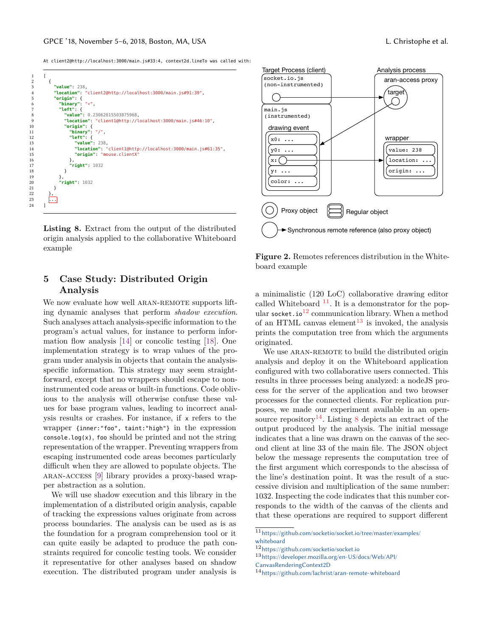$15$ <br> $16$ <br> $17$ 

23 ... 24 ] <span id="page-9-5"></span>At client2@http://localhost:3000/main.js#33:4, context2d.lineTo was called with:

| 1  | ſ                                                          |
|----|------------------------------------------------------------|
|    |                                                            |
| 2  | ſ                                                          |
| 3  | "value": $238.$                                            |
| 4  | "location": "client2@http://localhost:3000/main.js#91:39", |
| 5  | "origin": $\{$                                             |
| 6  | "binary" $"*"$                                             |
| 7  | "left": $\{$                                               |
| 8  | "value": 0.23062015503875968,                              |
| 9  | "location": "client1@http://localhost:3000/main.js#46:10", |
| 10 | "origin": $\{$                                             |
| 11 | "binary": "/".                                             |
| 12 | "left": $\{$                                               |
| 13 | " $value$ ": 238,                                          |
| 14 | "location": "client1@http://localhost:3000/main.js#61:35", |
| 15 | "origin": "mouse.clientX"                                  |
| 16 | },                                                         |
| 17 | " $right"$ : 1032                                          |
| 18 | ł                                                          |
| 19 | },                                                         |
| 20 | "right": 1032                                              |
| 21 | ł                                                          |
| 22 | },                                                         |
| 23 | $\cdots$                                                   |
| 24 |                                                            |
|    |                                                            |

**Listing 8.** Extract from the output of the distributed origin analysis applied to the collaborative Whiteboard example

## <span id="page-9-0"></span>**5 Case Study: Distributed Origin Analysis**

We now evaluate how well ARAN-REMOTE supports lifting dynamic analyses that perform *shadow execution*. Such analyses attach analysis-specific information to the program's actual values, for instance to perform information flow analysis [[14](#page-12-11)] or concolic testing [[18\]](#page-12-12). One implementation strategy is to wrap values of the program under analysis in objects that contain the analysisspecific information. This strategy may seem straightforward, except that no wrappers should escape to noninstrumented code areas or built-in functions. Code oblivious to the analysis will otherwise confuse these values for base program values, leading to incorrect analysis results or crashes. For instance, if x refers to the wrapper {inner:"foo", taint:"high"} in the expression console.log(x), foo should be printed and not the string representation of the wrapper. Preventing wrappers from escaping instrumented code areas becomes particularly difficult when they are allowed to populate objects. The aran-access [[9\]](#page-12-6) library provides a proxy-based wrapper abstraction as a solution.

We will use shadow execution and this library in the implementation of a distributed origin analysis, capable of tracking the expressions values originate from across process boundaries. The analysis can be used as is as the foundation for a program comprehension tool or it can quite easily be adapted to produce the path constraints required for concolic testing tools. We consider it representative for other analyses based on shadow execution. The distributed program under analysis is

<span id="page-9-6"></span>

**Figure 2.** Remotes references distribution in the Whiteboard example

a minimalistic (120 LoC) collaborative drawing editor called Whiteboard  $^{11}$  $^{11}$  $^{11}$ . It is a demonstrator for the pop-ular socket.io<sup>[12](#page-9-2)</sup> communication library. When a method of an HTML canvas element<sup>[13](#page-9-3)</sup> is invoked, the analysis prints the computation tree from which the arguments originated.

We use ARAN-REMOTE to build the distributed origin analysis and deploy it on the Whiteboard application configured with two collaborative users connected. This results in three processes being analyzed: a nodeJS process for the server of the application and two browser processes for the connected clients. For replication purposes, we made our experiment available in an open-source repository<sup>[14](#page-9-4)</sup>. Listing [8](#page-9-5) depicts an extract of the output produced by the analysis. The initial message indicates that a line was drawn on the canvas of the second client at line 33 of the main file. The JSON object below the message represents the computation tree of the first argument which corresponds to the abscissa of the line's destination point. It was the result of a successive division and multiplication of the same number: 1032. Inspecting the code indicates that this number corresponds to the width of the canvas of the clients and that these operations are required to support different

<span id="page-9-1"></span><sup>11</sup>[https://github.com/socketio/socket.io/tree/master/examples/](https://github.com/socketio/socket.io/tree/master/examples/whiteboard) [whiteboard](https://github.com/socketio/socket.io/tree/master/examples/whiteboard)

<span id="page-9-2"></span><sup>12</sup><https://github.com/socketio/socket.io>

<span id="page-9-3"></span><sup>13</sup>[https://developer.mozilla.org/en-US/docs/Web/API/](https://developer.mozilla.org/en-US/docs/Web/API/CanvasRenderingContext2D)

[CanvasRenderingContext2D](https://developer.mozilla.org/en-US/docs/Web/API/CanvasRenderingContext2D)

<span id="page-9-4"></span><sup>14</sup><https://github.com/lachrist/aran-remote-whiteboard>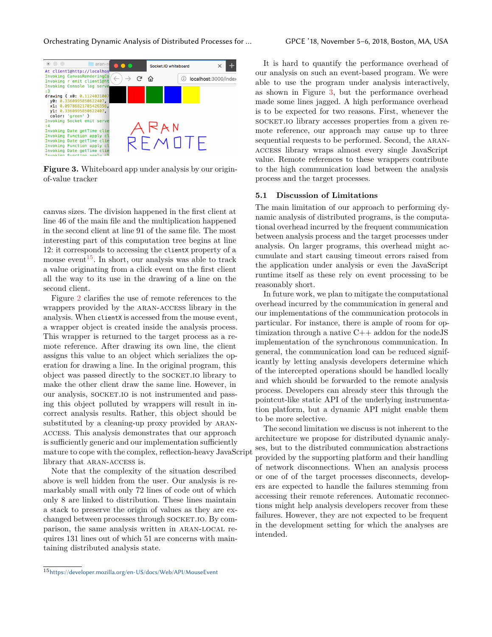<span id="page-10-1"></span>

**Figure 3.** Whiteboard app under analysis by our originof-value tracker

canvas sizes. The division happened in the first client at line 46 of the main file and the multiplication happened in the second client at line 91 of the same file. The most interesting part of this computation tree begins at line 12: it corresponds to accessing the clientX property of a mouse event<sup>[15](#page-10-0)</sup>. In short, our analysis was able to track a value originating from a click event on the first client all the way to its use in the drawing of a line on the second client.

Figure [2](#page-9-6) clarifies the use of remote references to the wrappers provided by the aran-access library in the analysis. When clientX is accessed from the mouse event, a wrapper object is created inside the analysis process. This wrapper is returned to the target process as a remote reference. After drawing its own line, the client assigns this value to an object which serializes the operation for drawing a line. In the original program, this object was passed directly to the SOCKET.IO library to make the other client draw the same line. However, in our analysis, SOCKET.IO is not instrumented and passing this object polluted by wrappers will result in incorrect analysis results. Rather, this object should be substituted by a cleaning-up proxy provided by ARANaccess. This analysis demonstrates that our approach is sufficiently generic and our implementation sufficiently mature to cope with the complex, reflection-heavy JavaScript library that ARAN-ACCESS is.

Note that the complexity of the situation described above is well hidden from the user. Our analysis is remarkably small with only 72 lines of code out of which only 8 are linked to distribution. These lines maintain a stack to preserve the origin of values as they are exchanged between processes through socket.io. By comparison, the same analysis written in aran-local requires 131 lines out of which 51 are concerns with maintaining distributed analysis state.

It is hard to quantify the performance overhead of our analysis on such an event-based program. We were able to use the program under analysis interactively, as shown in Figure [3,](#page-10-1) but the performance overhead made some lines jagged. A high performance overhead is to be expected for two reasons. First, whenever the socket. Io library accesses properties from a given remote reference, our approach may cause up to three sequential requests to be performed. Second, the ARANaccess library wraps almost every single JavaScript value. Remote references to these wrappers contribute to the high communication load between the analysis process and the target processes.

#### **5.1 Discussion of Limitations**

The main limitation of our approach to performing dynamic analysis of distributed programs, is the computational overhead incurred by the frequent communication between analysis process and the target processes under analysis. On larger programs, this overhead might accumulate and start causing timeout errors raised from the application under analysis or even the JavaScript runtime itself as these rely on event processing to be reasonably short.

In future work, we plan to mitigate the computational overhead incurred by the communication in general and our implementations of the communication protocols in particular. For instance, there is ample of room for optimization through a native  $C++$  addon for the node JS implementation of the synchronous communication. In general, the communication load can be reduced significantly by letting analysis developers determine which of the intercepted operations should be handled locally and which should be forwarded to the remote analysis process. Developers can already steer this through the pointcut-like static API of the underlying instrumentation platform, but a dynamic API might enable them to be more selective.

The second limitation we discuss is not inherent to the architecture we propose for distributed dynamic analyses, but to the distributed communication abstractions provided by the supporting platform and their handling of network disconnections. When an analysis process or one of of the target processes disconnects, developers are expected to handle the failures stemming from accessing their remote references. Automatic reconnections might help analysis developers recover from these failures. However, they are not expected to be frequent in the development setting for which the analyses are intended.

<span id="page-10-0"></span><sup>15</sup><https://developer.mozilla.org/en-US/docs/Web/API/MouseEvent>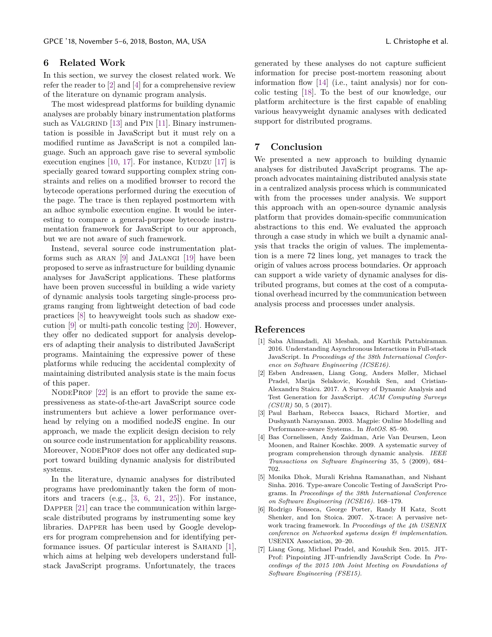## <span id="page-11-4"></span>**6 Related Work**

In this section, we survey the closest related work. We refer the reader to [\[2](#page-11-3)] and [[4\]](#page-11-6) for a comprehensive review of the literature on dynamic program analysis.

The most widespread platforms for building dynamic analyses are probably binary instrumentation platforms such as VALGRIND  $[13]$  $[13]$  and PIN  $[11]$  $[11]$  $[11]$ . Binary instrumentation is possible in JavaScript but it must rely on a modified runtime as JavaScript is not a compiled language. Such an approach gave rise to several symbolic execution engines  $[10, 17]$  $[10, 17]$  $[10, 17]$  $[10, 17]$ . For instance, KUDZU  $[17]$  is specially geared toward supporting complex string constraints and relies on a modified browser to record the bytecode operations performed during the execution of the page. The trace is then replayed postmortem with an adhoc symbolic execution engine. It would be interesting to compare a general-purpose bytecode instrumentation framework for JavaScript to our approach, but we are not aware of such framework.

Instead, several source code instrumentation platforms such as aran [[9\]](#page-12-6) and Jalangi [[19\]](#page-12-7) have been proposed to serve as infrastructure for building dynamic analyses for JavaScript applications. These platforms have been proven successful in building a wide variety of dynamic analysis tools targeting single-process programs ranging from lightweight detection of bad code practices [[8\]](#page-12-4) to heavyweight tools such as shadow execution [[9\]](#page-12-6) or multi-path concolic testing [\[20](#page-12-16)]. However, they offer no dedicated support for analysis developers of adapting their analysis to distributed JavaScript programs. Maintaining the expressive power of these platforms while reducing the accidental complexity of maintaining distributed analysis state is the main focus of this paper.

NODEPROF [[22\]](#page-12-8) is an effort to provide the same expressiveness as state-of-the-art JavaScript source code instrumenters but achieve a lower performance overhead by relying on a modified nodeJS engine. In our approach, we made the explicit design decision to rely on source code instrumentation for applicability reasons. Moreover, NODEPROF does not offer any dedicated support toward building dynamic analysis for distributed systems.

In the literature, dynamic analyses for distributed programs have predominantly taken the form of monitors and tracers (e.g., [[3,](#page-11-7) [6](#page-11-8), [21](#page-12-17), [25\]](#page-12-18)). For instance, DAPPER [\[21](#page-12-17)] can trace the communication within largescale distributed programs by instrumenting some key libraries. DAPPER has been used by Google developers for program comprehension and for identifying per-formance issues. Of particular interest is SAHAND [[1\]](#page-11-0), which aims at helping web developers understand fullstack JavaScript programs. Unfortunately, the traces

generated by these analyses do not capture sufficient information for precise post-mortem reasoning about information flow [\[14](#page-12-11)] (i.e., taint analysis) nor for concolic testing [\[18](#page-12-12)]. To the best of our knowledge, our platform architecture is the first capable of enabling various heavyweight dynamic analyses with dedicated support for distributed programs.

## <span id="page-11-5"></span>**7 Conclusion**

We presented a new approach to building dynamic analyses for distributed JavaScript programs. The approach advocates maintaining distributed analysis state in a centralized analysis process which is communicated with from the processes under analysis. We support this approach with an open-source dynamic analysis platform that provides domain-specific communication abstractions to this end. We evaluated the approach through a case study in which we built a dynamic analysis that tracks the origin of values. The implementation is a mere 72 lines long, yet manages to track the origin of values across process boundaries. Or approach can support a wide variety of dynamic analyses for distributed programs, but comes at the cost of a computational overhead incurred by the communication between analysis process and processes under analysis.

#### **References**

- <span id="page-11-0"></span>[1] Saba Alimadadi, Ali Mesbah, and Karthik Pattabiraman. 2016. Understanding Asynchronous Interactions in Full-stack JavaScript. In *Proceedings of the 38th International Conference on Software Engineering (ICSE16)*.
- <span id="page-11-3"></span>[2] Esben Andreasen, Liang Gong, Anders Møller, Michael Pradel, Marija Selakovic, Koushik Sen, and Cristian-Alexandru Staicu. 2017. A Survey of Dynamic Analysis and Test Generation for JavaScript. *ACM Computing Surveys (CSUR)* 50, 5 (2017).
- <span id="page-11-7"></span>[3] Paul Barham, Rebecca Isaacs, Richard Mortier, and Dushyanth Narayanan. 2003. Magpie: Online Modelling and Performance-aware Systems.. In *HotOS*. 85–90.
- <span id="page-11-6"></span>[4] Bas Cornelissen, Andy Zaidman, Arie Van Deursen, Leon Moonen, and Rainer Koschke. 2009. A systematic survey of program comprehension through dynamic analysis. *IEEE Transactions on Software Engineering* 35, 5 (2009), 684– 702.
- <span id="page-11-2"></span>[5] Monika Dhok, Murali Krishna Ramanathan, and Nishant Sinha. 2016. Type-aware Concolic Testing of JavaScript Programs. In *Proceedings of the 38th International Conference on Software Engineering (ICSE16)*. 168–179.
- <span id="page-11-8"></span>[6] Rodrigo Fonseca, George Porter, Randy H Katz, Scott Shenker, and Ion Stoica. 2007. X-trace: A pervasive network tracing framework. In *Proceedings of the 4th USENIX conference on Networked systems design & implementation*. USENIX Association, 20–20.
- <span id="page-11-1"></span>[7] Liang Gong, Michael Pradel, and Koushik Sen. 2015. JIT-Prof: Pinpointing JIT-unfriendly JavaScript Code. In *Proceedings of the 2015 10th Joint Meeting on Foundations of Software Engineering (FSE15)*.